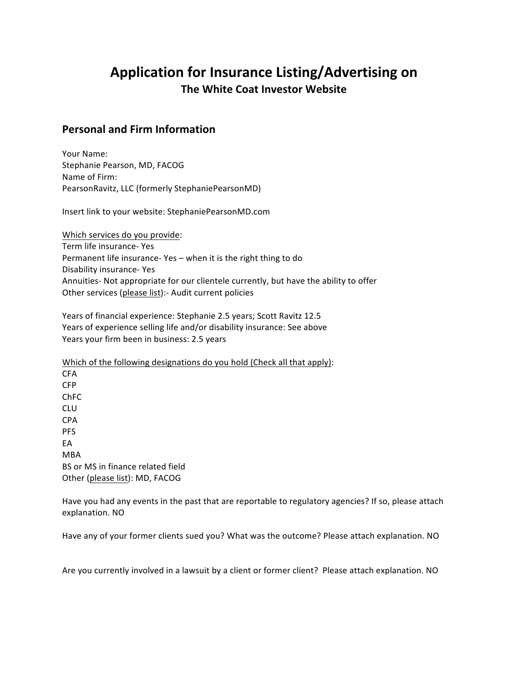## Application for Insurance Listing/Advertising on **The White Coat Investor Website**

## **Personal and Firm Information**

Your Name: Stephanie Pearson, MD, FACOG Name of Firm: PearsonRavitz, LLC (formerly StephaniePearsonMD)

Insert link to your website: StephaniePearsonMD.com

Which services do you provide: Term life insurance- Yes Permanent life insurance- Yes  $-$  when it is the right thing to do Disability insurance- Yes Annuities- Not appropriate for our clientele currently, but have the ability to offer Other services (please list):- Audit current policies

Years of financial experience: Stephanie 2.5 years; Scott Ravitz 12.5 Years of experience selling life and/or disability insurance: See above Years your firm been in business: 2.5 years

Which of the following designations do you hold (Check all that apply): CFA CFP ChFC CLU CPA PFS EA MBA BS or MS in finance related field Other (please list): MD, FACOG

Have you had any events in the past that are reportable to regulatory agencies? If so, please attach explanation. NO

Have any of your former clients sued you? What was the outcome? Please attach explanation. NO

Are you currently involved in a lawsuit by a client or former client? Please attach explanation. NO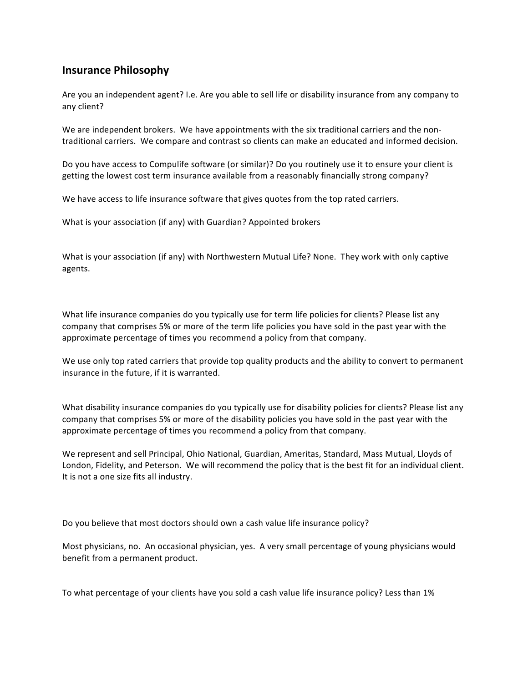## **Insurance Philosophy**

Are you an independent agent? I.e. Are you able to sell life or disability insurance from any company to any client?

We are independent brokers. We have appointments with the six traditional carriers and the nontraditional carriers. We compare and contrast so clients can make an educated and informed decision.

Do you have access to Compulife software (or similar)? Do you routinely use it to ensure your client is getting the lowest cost term insurance available from a reasonably financially strong company?

We have access to life insurance software that gives quotes from the top rated carriers.

What is your association (if any) with Guardian? Appointed brokers

What is your association (if any) with Northwestern Mutual Life? None. They work with only captive agents. 

What life insurance companies do you typically use for term life policies for clients? Please list any company that comprises 5% or more of the term life policies you have sold in the past year with the approximate percentage of times you recommend a policy from that company.

We use only top rated carriers that provide top quality products and the ability to convert to permanent insurance in the future, if it is warranted.

What disability insurance companies do you typically use for disability policies for clients? Please list any company that comprises 5% or more of the disability policies you have sold in the past year with the approximate percentage of times you recommend a policy from that company.

We represent and sell Principal, Ohio National, Guardian, Ameritas, Standard, Mass Mutual, Lloyds of London, Fidelity, and Peterson. We will recommend the policy that is the best fit for an individual client. It is not a one size fits all industry.

Do you believe that most doctors should own a cash value life insurance policy?

Most physicians, no. An occasional physician, yes. A very small percentage of young physicians would benefit from a permanent product.

To what percentage of your clients have you sold a cash value life insurance policy? Less than 1%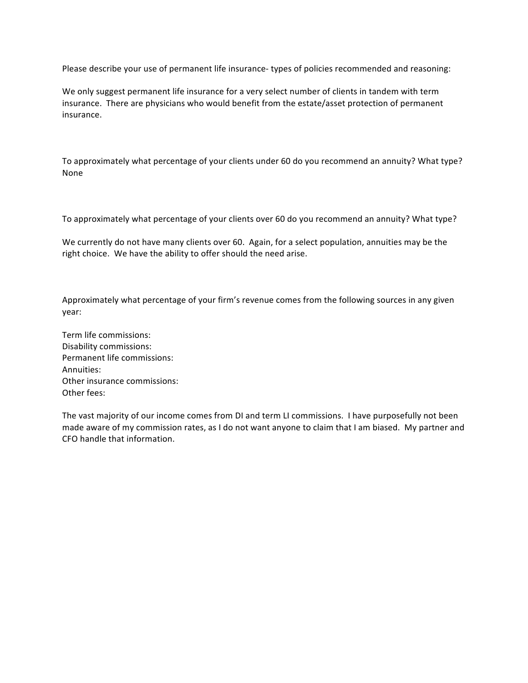Please describe your use of permanent life insurance- types of policies recommended and reasoning:

We only suggest permanent life insurance for a very select number of clients in tandem with term insurance. There are physicians who would benefit from the estate/asset protection of permanent insurance. 

To approximately what percentage of your clients under 60 do you recommend an annuity? What type? None

To approximately what percentage of your clients over 60 do you recommend an annuity? What type?

We currently do not have many clients over 60. Again, for a select population, annuities may be the right choice. We have the ability to offer should the need arise.

Approximately what percentage of your firm's revenue comes from the following sources in any given year:

Term life commissions: Disability commissions: Permanent life commissions: Annuities: Other insurance commissions: Other fees:

The vast majority of our income comes from DI and term LI commissions. I have purposefully not been made aware of my commission rates, as I do not want anyone to claim that I am biased. My partner and CFO handle that information.